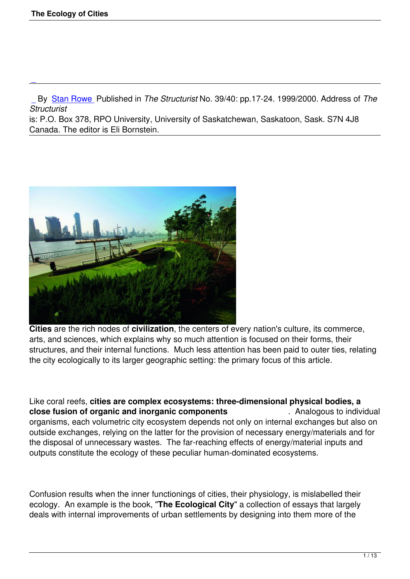By Stan Rowe Published in *The Structurist* No. 39/40: pp.17-24. 1999/2000. Address of *The [St](mailto:eli.bornstein@Usask.ca%3EWeb%20site%20of%20The%20Structurist:%20%3Ca%20href=)ructurist*

is: P.O. Box 378, RPO University, University of Saskatchewan, Saskatoon, Sask. S7N 4J8 [Ca](mailto:eli.bornstein@Usask.ca%3EWeb%20site%20of%20The%20Structurist:%20%3Ca%20href=)na[da. The edito](http://www.ecospherics.net/pages/aboutauthors.html#rowe)r is Eli Bornstein.



 $\overline{a}$ 

**Cities** are the rich nodes of **civilization**, the centers of every nation's culture, its commerce, arts, and sciences, which explains why so much attention is focused on their forms, their structures, and their internal functions. Much less attention has been paid to outer ties, relating the city ecologically to its larger geographic setting: the primary focus of this article.

Like coral reefs, **cities are complex ecosystems: three-dimensional physical bodies, a close fusion of organic and inorganic components** . Analogous to individual organisms, each volumetric city ecosystem depends not only on internal exchanges but also on outside exchanges, relying on the latter for the provision of necessary energy/materials and for the disposal of unnecessary wastes. The far-reaching effects of energy/material inputs and outputs constitute the ecology of these peculiar human-dominated ecosystems.

Confusion results when the inner functionings of cities, their physiology, is mislabelled their ecology. An example is the book, "**The Ecological City**" a collection of essays that largely deals with internal improvements of urban settlements by designing into them more of the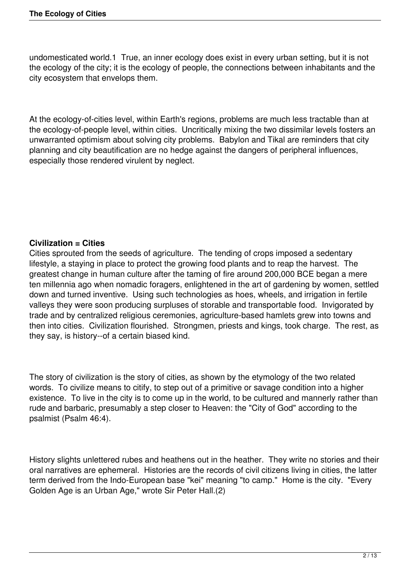undomesticated world.1 True, an inner ecology does exist in every urban setting, but it is not the ecology of the city; it is the ecology of people, the connections between inhabitants and the city ecosystem that envelops them.

At the ecology-of-cities level, within Earth's regions, problems are much less tractable than at the ecology-of-people level, within cities. Uncritically mixing the two dissimilar levels fosters an unwarranted optimism about solving city problems. Babylon and Tikal are reminders that city planning and city beautification are no hedge against the dangers of peripheral influences, especially those rendered virulent by neglect.

# **Civilization = Cities**

Cities sprouted from the seeds of agriculture. The tending of crops imposed a sedentary lifestyle, a staying in place to protect the growing food plants and to reap the harvest. The greatest change in human culture after the taming of fire around 200,000 BCE began a mere ten millennia ago when nomadic foragers, enlightened in the art of gardening by women, settled down and turned inventive. Using such technologies as hoes, wheels, and irrigation in fertile valleys they were soon producing surpluses of storable and transportable food. Invigorated by trade and by centralized religious ceremonies, agriculture-based hamlets grew into towns and then into cities. Civilization flourished. Strongmen, priests and kings, took charge. The rest, as they say, is history--of a certain biased kind.

The story of civilization is the story of cities, as shown by the etymology of the two related words. To civilize means to citify, to step out of a primitive or savage condition into a higher existence. To live in the city is to come up in the world, to be cultured and mannerly rather than rude and barbaric, presumably a step closer to Heaven: the "City of God" according to the psalmist (Psalm 46:4).

History slights unlettered rubes and heathens out in the heather. They write no stories and their oral narratives are ephemeral. Histories are the records of civil citizens living in cities, the latter term derived from the Indo-European base "kei" meaning "to camp." Home is the city. "Every Golden Age is an Urban Age," wrote Sir Peter Hall.(2)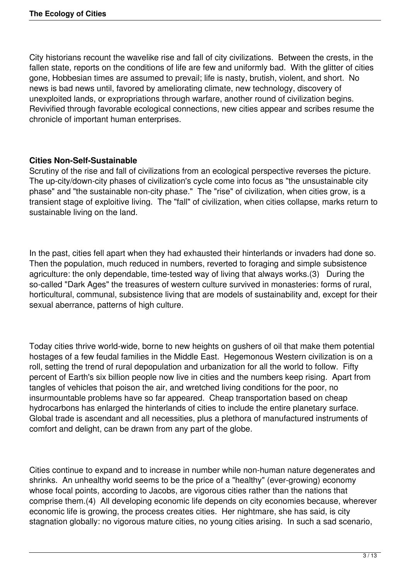City historians recount the wavelike rise and fall of city civilizations. Between the crests, in the fallen state, reports on the conditions of life are few and uniformly bad. With the glitter of cities gone, Hobbesian times are assumed to prevail; life is nasty, brutish, violent, and short. No news is bad news until, favored by ameliorating climate, new technology, discovery of unexploited lands, or expropriations through warfare, another round of civilization begins. Revivified through favorable ecological connections, new cities appear and scribes resume the chronicle of important human enterprises.

### **Cities Non-Self-Sustainable**

Scrutiny of the rise and fall of civilizations from an ecological perspective reverses the picture. The up-city/down-city phases of civilization's cycle come into focus as "the unsustainable city phase" and "the sustainable non-city phase." The "rise" of civilization, when cities grow, is a transient stage of exploitive living. The "fall" of civilization, when cities collapse, marks return to sustainable living on the land.

In the past, cities fell apart when they had exhausted their hinterlands or invaders had done so. Then the population, much reduced in numbers, reverted to foraging and simple subsistence agriculture: the only dependable, time-tested way of living that always works.(3) During the so-called "Dark Ages" the treasures of western culture survived in monasteries: forms of rural, horticultural, communal, subsistence living that are models of sustainability and, except for their sexual aberrance, patterns of high culture.

Today cities thrive world-wide, borne to new heights on gushers of oil that make them potential hostages of a few feudal families in the Middle East. Hegemonous Western civilization is on a roll, setting the trend of rural depopulation and urbanization for all the world to follow. Fifty percent of Earth's six billion people now live in cities and the numbers keep rising. Apart from tangles of vehicles that poison the air, and wretched living conditions for the poor, no insurmountable problems have so far appeared. Cheap transportation based on cheap hydrocarbons has enlarged the hinterlands of cities to include the entire planetary surface. Global trade is ascendant and all necessities, plus a plethora of manufactured instruments of comfort and delight, can be drawn from any part of the globe.

Cities continue to expand and to increase in number while non-human nature degenerates and shrinks. An unhealthy world seems to be the price of a "healthy" (ever-growing) economy whose focal points, according to Jacobs, are vigorous cities rather than the nations that comprise them.(4) All developing economic life depends on city economies because, wherever economic life is growing, the process creates cities. Her nightmare, she has said, is city stagnation globally: no vigorous mature cities, no young cities arising. In such a sad scenario,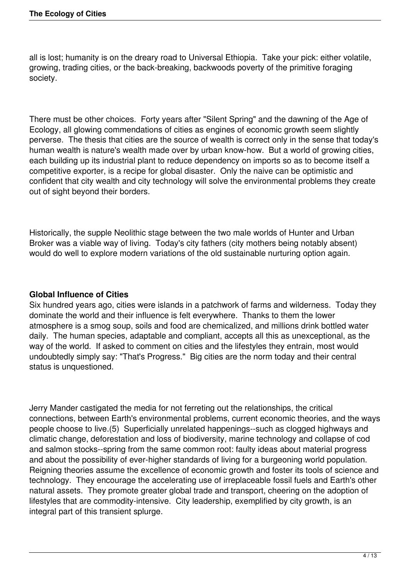all is lost; humanity is on the dreary road to Universal Ethiopia. Take your pick: either volatile, growing, trading cities, or the back-breaking, backwoods poverty of the primitive foraging society.

There must be other choices. Forty years after "Silent Spring" and the dawning of the Age of Ecology, all glowing commendations of cities as engines of economic growth seem slightly perverse. The thesis that cities are the source of wealth is correct only in the sense that today's human wealth is nature's wealth made over by urban know-how. But a world of growing cities, each building up its industrial plant to reduce dependency on imports so as to become itself a competitive exporter, is a recipe for global disaster. Only the naive can be optimistic and confident that city wealth and city technology will solve the environmental problems they create out of sight beyond their borders.

Historically, the supple Neolithic stage between the two male worlds of Hunter and Urban Broker was a viable way of living. Today's city fathers (city mothers being notably absent) would do well to explore modern variations of the old sustainable nurturing option again.

# **Global Influence of Cities**

Six hundred years ago, cities were islands in a patchwork of farms and wilderness. Today they dominate the world and their influence is felt everywhere. Thanks to them the lower atmosphere is a smog soup, soils and food are chemicalized, and millions drink bottled water daily. The human species, adaptable and compliant, accepts all this as unexceptional, as the way of the world. If asked to comment on cities and the lifestyles they entrain, most would undoubtedly simply say: "That's Progress." Big cities are the norm today and their central status is unquestioned.

Jerry Mander castigated the media for not ferreting out the relationships, the critical connections, between Earth's environmental problems, current economic theories, and the ways people choose to live.(5) Superficially unrelated happenings--such as clogged highways and climatic change, deforestation and loss of biodiversity, marine technology and collapse of cod and salmon stocks--spring from the same common root: faulty ideas about material progress and about the possibility of ever-higher standards of living for a burgeoning world population. Reigning theories assume the excellence of economic growth and foster its tools of science and technology. They encourage the accelerating use of irreplaceable fossil fuels and Earth's other natural assets. They promote greater global trade and transport, cheering on the adoption of lifestyles that are commodity-intensive. City leadership, exemplified by city growth, is an integral part of this transient splurge.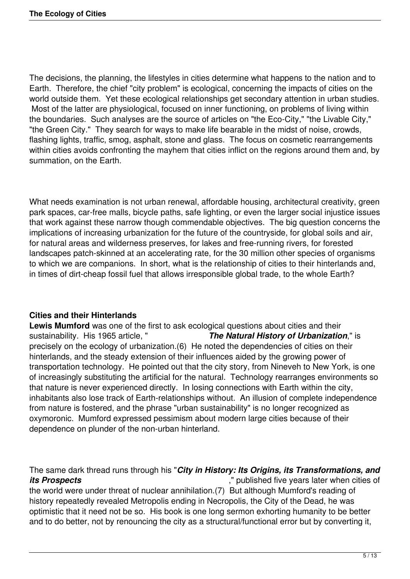The decisions, the planning, the lifestyles in cities determine what happens to the nation and to Earth. Therefore, the chief "city problem" is ecological, concerning the impacts of cities on the world outside them. Yet these ecological relationships get secondary attention in urban studies. Most of the latter are physiological, focused on inner functioning, on problems of living within the boundaries. Such analyses are the source of articles on "the Eco-City," "the Livable City," "the Green City." They search for ways to make life bearable in the midst of noise, crowds, flashing lights, traffic, smog, asphalt, stone and glass. The focus on cosmetic rearrangements within cities avoids confronting the mayhem that cities inflict on the regions around them and, by summation, on the Earth.

What needs examination is not urban renewal, affordable housing, architectural creativity, green park spaces, car-free malls, bicycle paths, safe lighting, or even the larger social injustice issues that work against these narrow though commendable objectives. The big question concerns the implications of increasing urbanization for the future of the countryside, for global soils and air, for natural areas and wilderness preserves, for lakes and free-running rivers, for forested landscapes patch-skinned at an accelerating rate, for the 30 million other species of organisms to which we are companions. In short, what is the relationship of cities to their hinterlands and, in times of dirt-cheap fossil fuel that allows irresponsible global trade, to the whole Earth?

# **Cities and their Hinterlands**

**Lewis Mumford** was one of the first to ask ecological questions about cities and their sustainability. His 1965 article, "<br> **The Natural History of Urbanizatio The Natural History of Urbanization," is** precisely on the ecology of urbanization.(6) He noted the dependencies of cities on their hinterlands, and the steady extension of their influences aided by the growing power of transportation technology. He pointed out that the city story, from Nineveh to New York, is one of increasingly substituting the artificial for the natural. Technology rearranges environments so that nature is never experienced directly. In losing connections with Earth within the city, inhabitants also lose track of Earth-relationships without. An illusion of complete independence from nature is fostered, and the phrase "urban sustainability" is no longer recognized as oxymoronic. Mumford expressed pessimism about modern large cities because of their dependence on plunder of the non-urban hinterland.

### The same dark thread runs through his "*City in History: Its Origins, its Transformations, and its Prospects* ," published five years later when cities of the world were under threat of nuclear annihilation.(7) But although Mumford's reading of history repeatedly revealed Metropolis ending in Necropolis, the City of the Dead, he was optimistic that it need not be so. His book is one long sermon exhorting humanity to be better and to do better, not by renouncing the city as a structural/functional error but by converting it,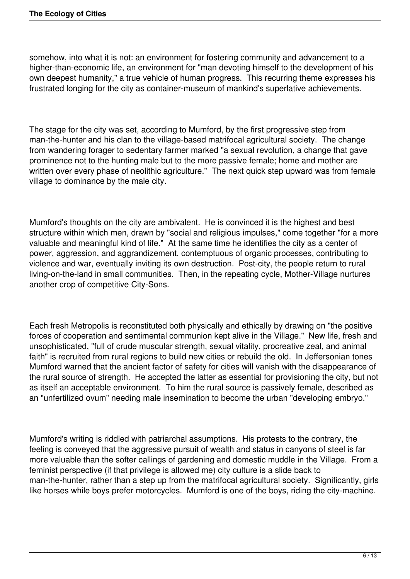somehow, into what it is not: an environment for fostering community and advancement to a higher-than-economic life, an environment for "man devoting himself to the development of his own deepest humanity," a true vehicle of human progress. This recurring theme expresses his frustrated longing for the city as container-museum of mankind's superlative achievements.

The stage for the city was set, according to Mumford, by the first progressive step from man-the-hunter and his clan to the village-based matrifocal agricultural society. The change from wandering forager to sedentary farmer marked "a sexual revolution, a change that gave prominence not to the hunting male but to the more passive female; home and mother are written over every phase of neolithic agriculture." The next quick step upward was from female village to dominance by the male city.

Mumford's thoughts on the city are ambivalent. He is convinced it is the highest and best structure within which men, drawn by "social and religious impulses," come together "for a more valuable and meaningful kind of life." At the same time he identifies the city as a center of power, aggression, and aggrandizement, contemptuous of organic processes, contributing to violence and war, eventually inviting its own destruction. Post-city, the people return to rural living-on-the-land in small communities. Then, in the repeating cycle, Mother-Village nurtures another crop of competitive City-Sons.

Each fresh Metropolis is reconstituted both physically and ethically by drawing on "the positive forces of cooperation and sentimental communion kept alive in the Village." New life, fresh and unsophisticated, "full of crude muscular strength, sexual vitality, procreative zeal, and animal faith" is recruited from rural regions to build new cities or rebuild the old. In Jeffersonian tones Mumford warned that the ancient factor of safety for cities will vanish with the disappearance of the rural source of strength. He accepted the latter as essential for provisioning the city, but not as itself an acceptable environment. To him the rural source is passively female, described as an "unfertilized ovum" needing male insemination to become the urban "developing embryo."

Mumford's writing is riddled with patriarchal assumptions. His protests to the contrary, the feeling is conveyed that the aggressive pursuit of wealth and status in canyons of steel is far more valuable than the softer callings of gardening and domestic muddle in the Village. From a feminist perspective (if that privilege is allowed me) city culture is a slide back to man-the-hunter, rather than a step up from the matrifocal agricultural society. Significantly, girls like horses while boys prefer motorcycles. Mumford is one of the boys, riding the city-machine.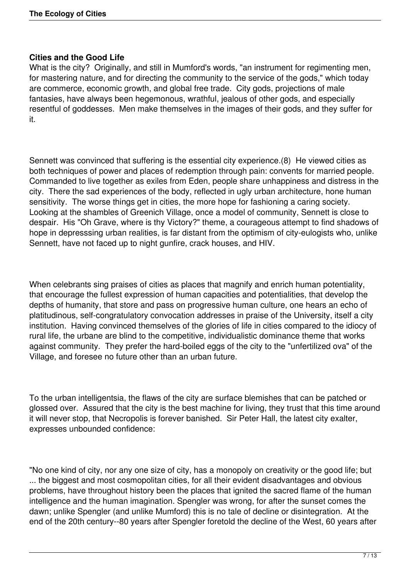### **Cities and the Good Life**

What is the city? Originally, and still in Mumford's words, "an instrument for regimenting men, for mastering nature, and for directing the community to the service of the gods," which today are commerce, economic growth, and global free trade. City gods, projections of male fantasies, have always been hegemonous, wrathful, jealous of other gods, and especially resentful of goddesses. Men make themselves in the images of their gods, and they suffer for it.

Sennett was convinced that suffering is the essential city experience.(8) He viewed cities as both techniques of power and places of redemption through pain: convents for married people. Commanded to live together as exiles from Eden, people share unhappiness and distress in the city. There the sad experiences of the body, reflected in ugly urban architecture, hone human sensitivity. The worse things get in cities, the more hope for fashioning a caring society. Looking at the shambles of Greenich Village, once a model of community, Sennett is close to despair. His "Oh Grave, where is thy Victory?" theme, a courageous attempt to find shadows of hope in depresssing urban realities, is far distant from the optimism of city-eulogists who, unlike Sennett, have not faced up to night gunfire, crack houses, and HIV.

When celebrants sing praises of cities as places that magnify and enrich human potentiality, that encourage the fullest expression of human capacities and potentialities, that develop the depths of humanity, that store and pass on progressive human culture, one hears an echo of platitudinous, self-congratulatory convocation addresses in praise of the University, itself a city institution. Having convinced themselves of the glories of life in cities compared to the idiocy of rural life, the urbane are blind to the competitive, individualistic dominance theme that works against community. They prefer the hard-boiled eggs of the city to the "unfertilized ova" of the Village, and foresee no future other than an urban future.

To the urban intelligentsia, the flaws of the city are surface blemishes that can be patched or glossed over. Assured that the city is the best machine for living, they trust that this time around it will never stop, that Necropolis is forever banished. Sir Peter Hall, the latest city exalter, expresses unbounded confidence:

"No one kind of city, nor any one size of city, has a monopoly on creativity or the good life; but ... the biggest and most cosmopolitan cities, for all their evident disadvantages and obvious problems, have throughout history been the places that ignited the sacred flame of the human intelligence and the human imagination. Spengler was wrong, for after the sunset comes the dawn; unlike Spengler (and unlike Mumford) this is no tale of decline or disintegration. At the end of the 20th century--80 years after Spengler foretold the decline of the West, 60 years after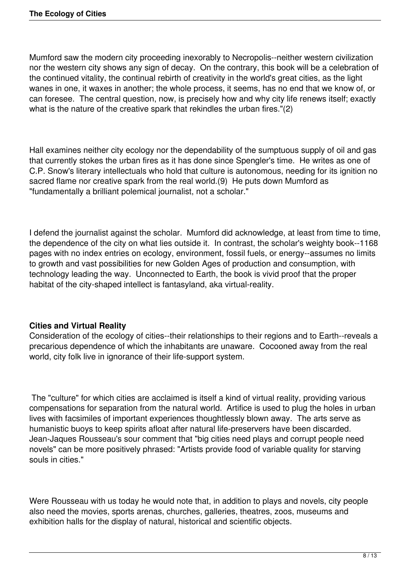Mumford saw the modern city proceeding inexorably to Necropolis--neither western civilization nor the western city shows any sign of decay. On the contrary, this book will be a celebration of the continued vitality, the continual rebirth of creativity in the world's great cities, as the light wanes in one, it waxes in another; the whole process, it seems, has no end that we know of, or can foresee. The central question, now, is precisely how and why city life renews itself; exactly what is the nature of the creative spark that rekindles the urban fires."(2)

Hall examines neither city ecology nor the dependability of the sumptuous supply of oil and gas that currently stokes the urban fires as it has done since Spengler's time. He writes as one of C.P. Snow's literary intellectuals who hold that culture is autonomous, needing for its ignition no sacred flame nor creative spark from the real world.(9) He puts down Mumford as "fundamentally a brilliant polemical journalist, not a scholar."

I defend the journalist against the scholar. Mumford did acknowledge, at least from time to time, the dependence of the city on what lies outside it. In contrast, the scholar's weighty book--1168 pages with no index entries on ecology, environment, fossil fuels, or energy--assumes no limits to growth and vast possibilities for new Golden Ages of production and consumption, with technology leading the way. Unconnected to Earth, the book is vivid proof that the proper habitat of the city-shaped intellect is fantasyland, aka virtual-reality.

# **Cities and Virtual Reality**

Consideration of the ecology of cities--their relationships to their regions and to Earth--reveals a precarious dependence of which the inhabitants are unaware. Cocooned away from the real world, city folk live in ignorance of their life-support system.

 The "culture" for which cities are acclaimed is itself a kind of virtual reality, providing various compensations for separation from the natural world. Artifice is used to plug the holes in urban lives with facsimiles of important experiences thoughtlessly blown away. The arts serve as humanistic buoys to keep spirits afloat after natural life-preservers have been discarded. Jean-Jaques Rousseau's sour comment that "big cities need plays and corrupt people need novels" can be more positively phrased: "Artists provide food of variable quality for starving souls in cities."

Were Rousseau with us today he would note that, in addition to plays and novels, city people also need the movies, sports arenas, churches, galleries, theatres, zoos, museums and exhibition halls for the display of natural, historical and scientific objects.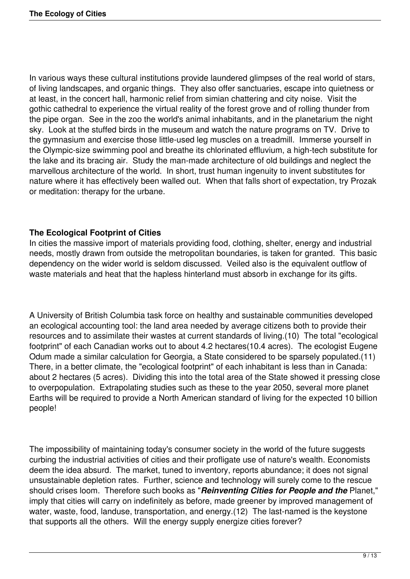In various ways these cultural institutions provide laundered glimpses of the real world of stars, of living landscapes, and organic things. They also offer sanctuaries, escape into quietness or at least, in the concert hall, harmonic relief from simian chattering and city noise. Visit the gothic cathedral to experience the virtual reality of the forest grove and of rolling thunder from the pipe organ. See in the zoo the world's animal inhabitants, and in the planetarium the night sky. Look at the stuffed birds in the museum and watch the nature programs on TV. Drive to the gymnasium and exercise those little-used leg muscles on a treadmill. Immerse yourself in the Olympic-size swimming pool and breathe its chlorinated effluvium, a high-tech substitute for the lake and its bracing air. Study the man-made architecture of old buildings and neglect the marvellous architecture of the world. In short, trust human ingenuity to invent substitutes for nature where it has effectively been walled out. When that falls short of expectation, try Prozak or meditation: therapy for the urbane.

# **The Ecological Footprint of Cities**

In cities the massive import of materials providing food, clothing, shelter, energy and industrial needs, mostly drawn from outside the metropolitan boundaries, is taken for granted. This basic dependency on the wider world is seldom discussed. Veiled also is the equivalent outflow of waste materials and heat that the hapless hinterland must absorb in exchange for its gifts.

A University of British Columbia task force on healthy and sustainable communities developed an ecological accounting tool: the land area needed by average citizens both to provide their resources and to assimilate their wastes at current standards of living.(10) The total "ecological footprint" of each Canadian works out to about 4.2 hectares(10.4 acres). The ecologist Eugene Odum made a similar calculation for Georgia, a State considered to be sparsely populated.(11) There, in a better climate, the "ecological footprint" of each inhabitant is less than in Canada: about 2 hectares (5 acres). Dividing this into the total area of the State showed it pressing close to overpopulation. Extrapolating studies such as these to the year 2050, several more planet Earths will be required to provide a North American standard of living for the expected 10 billion people!

The impossibility of maintaining today's consumer society in the world of the future suggests curbing the industrial activities of cities and their profligate use of nature's wealth. Economists deem the idea absurd. The market, tuned to inventory, reports abundance; it does not signal unsustainable depletion rates. Further, science and technology will surely come to the rescue should crises loom. Therefore such books as "*Reinventing Cities for People and the* Planet," imply that cities will carry on indefinitely as before, made greener by improved management of water, waste, food, landuse, transportation, and energy.(12) The last-named is the keystone that supports all the others. Will the energy supply energize cities forever?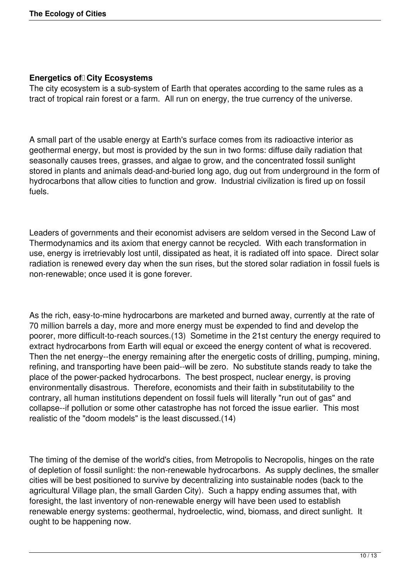### Energetics of City Ecosystems

The city ecosystem is a sub-system of Earth that operates according to the same rules as a tract of tropical rain forest or a farm. All run on energy, the true currency of the universe.

A small part of the usable energy at Earth's surface comes from its radioactive interior as geothermal energy, but most is provided by the sun in two forms: diffuse daily radiation that seasonally causes trees, grasses, and algae to grow, and the concentrated fossil sunlight stored in plants and animals dead-and-buried long ago, dug out from underground in the form of hydrocarbons that allow cities to function and grow. Industrial civilization is fired up on fossil fuels.

Leaders of governments and their economist advisers are seldom versed in the Second Law of Thermodynamics and its axiom that energy cannot be recycled. With each transformation in use, energy is irretrievably lost until, dissipated as heat, it is radiated off into space. Direct solar radiation is renewed every day when the sun rises, but the stored solar radiation in fossil fuels is non-renewable; once used it is gone forever.

As the rich, easy-to-mine hydrocarbons are marketed and burned away, currently at the rate of 70 million barrels a day, more and more energy must be expended to find and develop the poorer, more difficult-to-reach sources.(13) Sometime in the 21st century the energy required to extract hydrocarbons from Earth will equal or exceed the energy content of what is recovered. Then the net energy--the energy remaining after the energetic costs of drilling, pumping, mining, refining, and transporting have been paid--will be zero. No substitute stands ready to take the place of the power-packed hydrocarbons. The best prospect, nuclear energy, is proving environmentally disastrous. Therefore, economists and their faith in substitutability to the contrary, all human institutions dependent on fossil fuels will literally "run out of gas" and collapse--if pollution or some other catastrophe has not forced the issue earlier. This most realistic of the "doom models" is the least discussed.(14)

The timing of the demise of the world's cities, from Metropolis to Necropolis, hinges on the rate of depletion of fossil sunlight: the non-renewable hydrocarbons. As supply declines, the smaller cities will be best positioned to survive by decentralizing into sustainable nodes (back to the agricultural Village plan, the small Garden City). Such a happy ending assumes that, with foresight, the last inventory of non-renewable energy will have been used to establish renewable energy systems: geothermal, hydroelectic, wind, biomass, and direct sunlight. It ought to be happening now.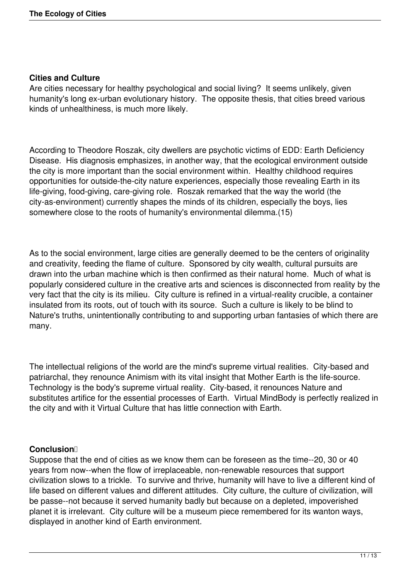#### **Cities and Culture**

Are cities necessary for healthy psychological and social living? It seems unlikely, given humanity's long ex-urban evolutionary history. The opposite thesis, that cities breed various kinds of unhealthiness, is much more likely.

According to Theodore Roszak, city dwellers are psychotic victims of EDD: Earth Deficiency Disease. His diagnosis emphasizes, in another way, that the ecological environment outside the city is more important than the social environment within. Healthy childhood requires opportunities for outside-the-city nature experiences, especially those revealing Earth in its life-giving, food-giving, care-giving role. Roszak remarked that the way the world (the city-as-environment) currently shapes the minds of its children, especially the boys, lies somewhere close to the roots of humanity's environmental dilemma.(15)

As to the social environment, large cities are generally deemed to be the centers of originality and creativity, feeding the flame of culture. Sponsored by city wealth, cultural pursuits are drawn into the urban machine which is then confirmed as their natural home. Much of what is popularly considered culture in the creative arts and sciences is disconnected from reality by the very fact that the city is its milieu. City culture is refined in a virtual-reality crucible, a container insulated from its roots, out of touch with its source. Such a culture is likely to be blind to Nature's truths, unintentionally contributing to and supporting urban fantasies of which there are many.

The intellectual religions of the world are the mind's supreme virtual realities. City-based and patriarchal, they renounce Animism with its vital insight that Mother Earth is the life-source. Technology is the body's supreme virtual reality. City-based, it renounces Nature and substitutes artifice for the essential processes of Earth. Virtual MindBody is perfectly realized in the city and with it Virtual Culture that has little connection with Earth.

# Conclusion<sup>1</sup>

Suppose that the end of cities as we know them can be foreseen as the time--20, 30 or 40 years from now--when the flow of irreplaceable, non-renewable resources that support civilization slows to a trickle. To survive and thrive, humanity will have to live a different kind of life based on different values and different attitudes. City culture, the culture of civilization, will be passe--not because it served humanity badly but because on a depleted, impoverished planet it is irrelevant. City culture will be a museum piece remembered for its wanton ways, displayed in another kind of Earth environment.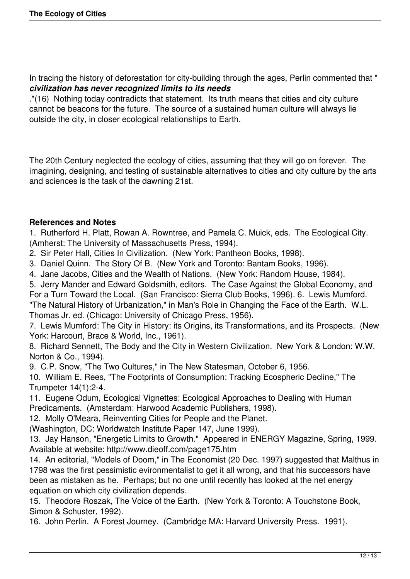In tracing the history of deforestation for city-building through the ages, Perlin commented that " *civilization has never recognized limits to its needs*

."(16) Nothing today contradicts that statement. Its truth means that cities and city culture cannot be beacons for the future. The source of a sustained human culture will always lie outside the city, in closer ecological relationships to Earth.

The 20th Century neglected the ecology of cities, assuming that they will go on forever. The imagining, designing, and testing of sustainable alternatives to cities and city culture by the arts and sciences is the task of the dawning 21st.

### **References and Notes**

1. Rutherford H. Platt, Rowan A. Rowntree, and Pamela C. Muick, eds. The Ecological City. (Amherst: The University of Massachusetts Press, 1994).

2. Sir Peter Hall, Cities In Civilization. (New York: Pantheon Books, 1998).

3. Daniel Quinn. The Story Of B. (New York and Toronto: Bantam Books, 1996).

4. Jane Jacobs, Cities and the Wealth of Nations. (New York: Random House, 1984).

5. Jerry Mander and Edward Goldsmith, editors. The Case Against the Global Economy, and For a Turn Toward the Local. (San Francisco: Sierra Club Books, 1996). 6. Lewis Mumford. "The Natural History of Urbanization," in Man's Role in Changing the Face of the Earth. W.L. Thomas Jr. ed. (Chicago: University of Chicago Press, 1956).

7. Lewis Mumford: The City in History: its Origins, its Transformations, and its Prospects. (New York: Harcourt, Brace & World, Inc., 1961).

8. Richard Sennett, The Body and the City in Western Civilization. New York & London: W.W. Norton & Co., 1994).

9. C.P. Snow, "The Two Cultures," in The New Statesman, October 6, 1956.

10. William E. Rees, "The Footprints of Consumption: Tracking Ecospheric Decline," The Trumpeter 14(1):2-4.

11. Eugene Odum, Ecological Vignettes: Ecological Approaches to Dealing with Human Predicaments. (Amsterdam: Harwood Academic Publishers, 1998).

12. Molly O'Meara, Reinventing Cities for People and the Planet.

(Washington, DC: Worldwatch Institute Paper 147, June 1999).

13. Jay Hanson, "Energetic Limits to Growth." Appeared in ENERGY Magazine, Spring, 1999. Available at website: http://www.dieoff.com/page175.htm

14. An editorial, "Models of Doom," in The Economist (20 Dec. 1997) suggested that Malthus in 1798 was the first pessimistic evironmentalist to get it all wrong, and that his successors have been as mistaken as he. Perhaps; but no one until recently has looked at the net energy equation on which city civilization depends.

15. Theodore Roszak, The Voice of the Earth. (New York & Toronto: A Touchstone Book, Simon & Schuster, 1992).

16. John Perlin. A Forest Journey. (Cambridge MA: Harvard University Press. 1991).